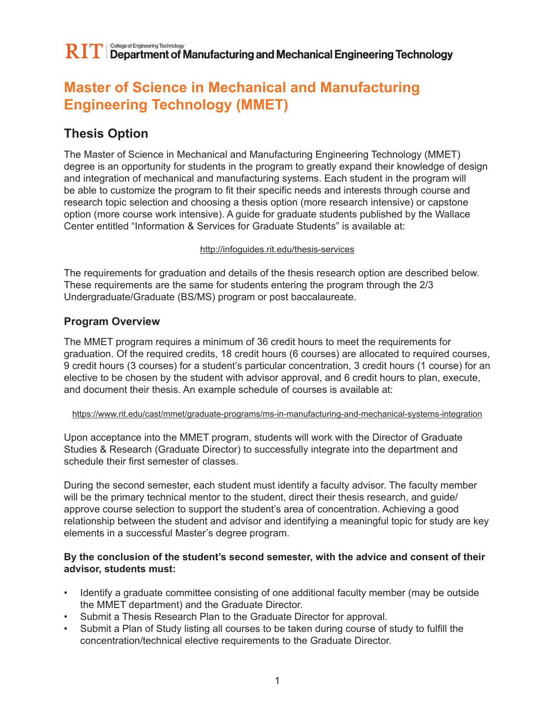## **Master of Science in Mechanical and Manufacturing Engineering Technology (MMET)**

## **Thesis Option**

The Master of Science in Mechanical and Manufacturing Engineering Technology (MMET) degree is an opportunity for students in the program to greatly expand their knowledge of design and integration of mechanical and manufacturing systems. Each student in the program will be able to customize the program to fit their specific needs and interests through course and research topic selection and choosing a thesis option (more research intensive) or capstone option (more course work intensive). A guide for graduate students published by the Wallace Center entitled "Information & Services for Graduate Students" is available at:

#### http://infoguides.rit.edu/thesis-services

The requirements for graduation and details of the thesis research option are described below. These requirements are the same for students entering the program through the 2/3 Undergraduate/Graduate (BS/MS) program or post baccalaureate.

## **Program Overview**

The MMET program requires a minimum of 36 credit hours to meet the requirements for graduation. Of the required credits, 18 credit hours (6 courses) are allocated to required courses, 9 credit hours (3 courses) for a student's particular concentration, 3 credit hours (1 course) for an elective to be chosen by the student with advisor approval, and 6 credit hours to plan, execute, and document their thesis. An example schedule of courses is available at:

#### https://www.rit.edu/cast/mmet/graduate-programs/ms-in-manufacturing-and-mechanical-systems-integration

Upon acceptance into the MMET program, students will work with the Director of Graduate Studies & Research (Graduate Director) to successfully integrate into the department and schedule their first semester of classes.

During the second semester, each student must identify a faculty advisor. The faculty member will be the primary technical mentor to the student, direct their thesis research, and guide/ approve course selection to support the student's area of concentration. Achieving a good relationship between the student and advisor and identifying a meaningful topic for study are key elements in a successful Master's degree program.

#### **By the conclusion of the student's second semester, with the advice and consent of their advisor, students must:**

- Identify a graduate committee consisting of one additional faculty member (may be outside the MMET department) and the Graduate Director.
- Submit a Thesis Research Plan to the Graduate Director for approval.
- Submit a Plan of Study listing all courses to be taken during course of study to fulfill the concentration/technical elective requirements to the Graduate Director.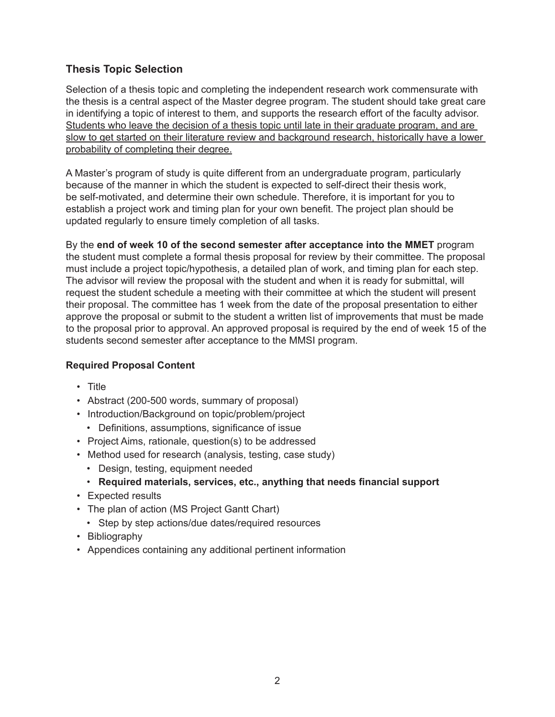## **Thesis Topic Selection**

Selection of a thesis topic and completing the independent research work commensurate with the thesis is a central aspect of the Master degree program. The student should take great care in identifying a topic of interest to them, and supports the research effort of the faculty advisor. Students who leave the decision of a thesis topic until late in their graduate program, and are slow to get started on their literature review and background research, historically have a lower probability of completing their degree.

A Master's program of study is quite different from an undergraduate program, particularly because of the manner in which the student is expected to self-direct their thesis work, be self-motivated, and determine their own schedule. Therefore, it is important for you to establish a project work and timing plan for your own benefit. The project plan should be updated regularly to ensure timely completion of all tasks.

By the **end of week 10 of the second semester after acceptance into the MMET** program the student must complete a formal thesis proposal for review by their committee. The proposal must include a project topic/hypothesis, a detailed plan of work, and timing plan for each step. The advisor will review the proposal with the student and when it is ready for submittal, will request the student schedule a meeting with their committee at which the student will present their proposal. The committee has 1 week from the date of the proposal presentation to either approve the proposal or submit to the student a written list of improvements that must be made to the proposal prior to approval. An approved proposal is required by the end of week 15 of the students second semester after acceptance to the MMSI program.

## **Required Proposal Content**

- Title
- Abstract (200-500 words, summary of proposal)
- Introduction/Background on topic/problem/project
	- Definitions, assumptions, significance of issue
- Project Aims, rationale, question(s) to be addressed
- Method used for research (analysis, testing, case study)
	- Design, testing, equipment needed
	- **Required materials, services, etc., anything that needs financial support**
- Expected results
- The plan of action (MS Project Gantt Chart)
	- Step by step actions/due dates/required resources
- Bibliography
- Appendices containing any additional pertinent information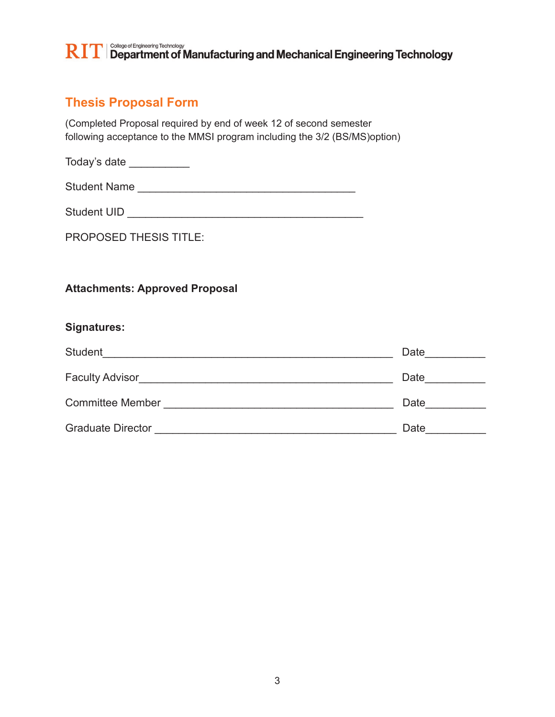## $\mathbf{RIT}$   $\Box$  Department of Manufacturing and Mechanical Engineering Technology

## **Thesis Proposal Form**

(Completed Proposal required by end of week 12 of second semester following acceptance to the MMSI program including the 3/2 (BS/MS)option)

Today's date \_\_\_\_\_\_\_\_\_\_

Student Name **and Student Name** 

Student UID \_\_\_\_\_\_\_\_\_\_\_\_\_\_\_\_\_\_\_\_\_\_\_\_\_\_\_\_\_\_\_\_\_\_\_\_\_\_\_

PROPOSED THESIS TITLE:

## **Attachments: Approved Proposal**

## **Signatures:**

| Student                  | Date |
|--------------------------|------|
| Faculty Advisor          | Date |
| <b>Committee Member</b>  | Date |
| <b>Graduate Director</b> | Date |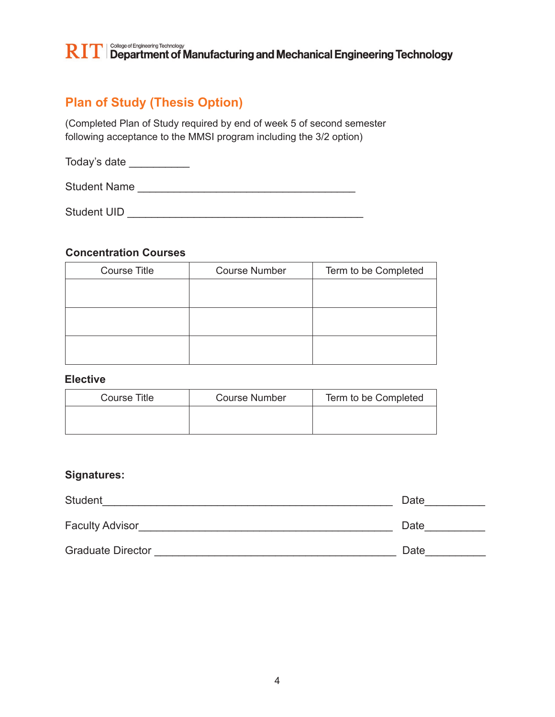## $\mathbf{RIT}$   $\Box$  Department of Manufacturing and Mechanical Engineering Technology

## **Plan of Study (Thesis Option)**

(Completed Plan of Study required by end of week 5 of second semester following acceptance to the MMSI program including the 3/2 option)

Today's date \_\_\_\_\_\_\_\_\_\_\_

Student Name \_\_\_\_\_\_\_\_\_\_\_\_\_\_\_\_\_\_\_\_\_\_\_\_\_\_\_\_\_\_\_\_\_\_\_\_

Student UID \_\_\_\_\_\_\_\_\_\_\_\_\_\_\_\_\_\_\_\_\_\_\_\_\_\_\_\_\_\_\_\_\_\_\_\_\_\_\_

## **Concentration Courses**

| <b>Course Title</b> | <b>Course Number</b> | Term to be Completed |
|---------------------|----------------------|----------------------|
|                     |                      |                      |
|                     |                      |                      |
|                     |                      |                      |
|                     |                      |                      |
|                     |                      |                      |
|                     |                      |                      |

### **Elective**

| Course Title | <b>Course Number</b> | Term to be Completed |
|--------------|----------------------|----------------------|
|              |                      |                      |

## **Signatures:**

| <b>Student</b>           | Date |
|--------------------------|------|
| <b>Faculty Advisor</b>   | Date |
| <b>Graduate Director</b> | Date |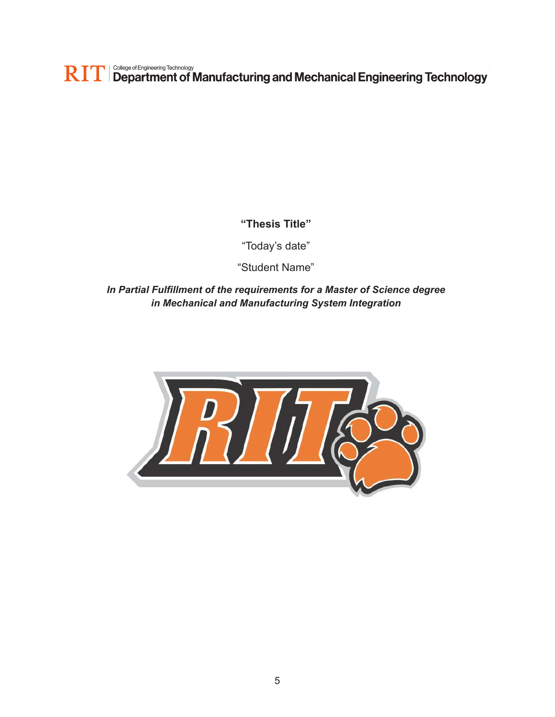$\mathbf{RIT}$  Sollege of Engineering Technology and Mechanical Engineering Technology

## **"Thesis Title"**

"Today's date"

"Student Name"

*In Partial Fulfillment of the requirements for a Master of Science degree in Mechanical and Manufacturing System Integration*

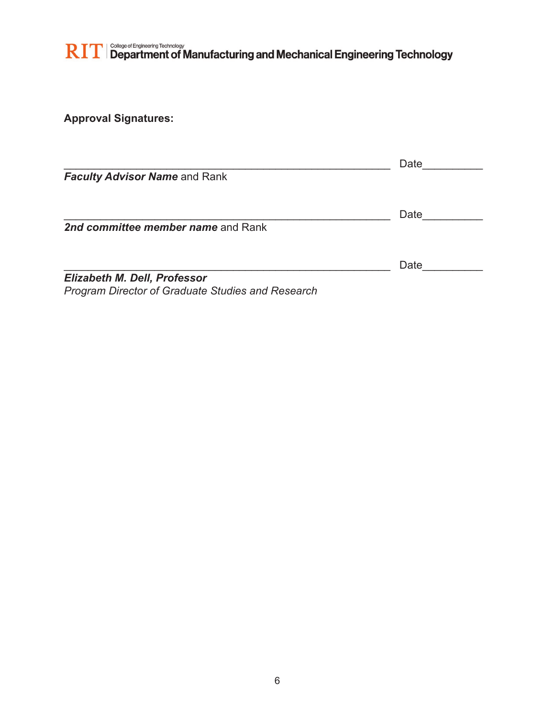# $\mathbf{RIT}$  Sollege of Engineering Technology<br> $\mathbf{RIT}$  Department of Manufacturing and Mechanical Engineering Technology

**Approval Signatures:**

|                                                          | Date |
|----------------------------------------------------------|------|
| <b>Faculty Advisor Name and Rank</b>                     |      |
|                                                          |      |
|                                                          | Date |
| 2nd committee member name and Rank                       |      |
|                                                          |      |
|                                                          | Date |
| <b>Elizabeth M. Dell, Professor</b>                      |      |
| <b>Program Director of Graduate Studies and Research</b> |      |

6